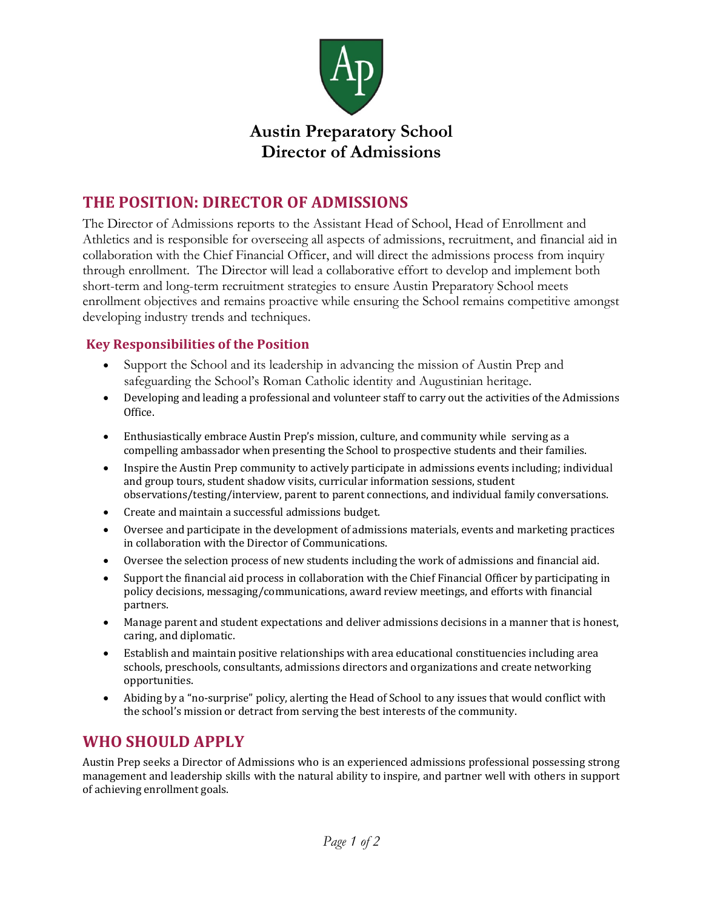

## **THE POSITION: DIRECTOR OF ADMISSIONS**

The Director of Admissions reports to the Assistant Head of School, Head of Enrollment and Athletics and is responsible for overseeing all aspects of admissions, recruitment, and financial aid in collaboration with the Chief Financial Officer, and will direct the admissions process from inquiry through enrollment. The Director will lead a collaborative effort to develop and implement both short-term and long-term recruitment strategies to ensure Austin Preparatory School meets enrollment objectives and remains proactive while ensuring the School remains competitive amongst developing industry trends and techniques.

## **Key Responsibilities of the Position**

- Support the School and its leadership in advancing the mission of Austin Prep and safeguarding the School's Roman Catholic identity and Augustinian heritage.
- Developing and leading a professional and volunteer staff to carry out the activities of the Admissions Office.
- Enthusiastically embrace Austin Prep's mission, culture, and community while serving as a compelling ambassador when presenting the School to prospective students and their families.
- Inspire the Austin Prep community to actively participate in admissions events including; individual and group tours, student shadow visits, curricular information sessions, student observations/testing/interview, parent to parent connections, and individual family conversations.
- Create and maintain a successful admissions budget.
- Oversee and participate in the development of admissions materials, events and marketing practices in collaboration with the Director of Communications.
- Oversee the selection process of new students including the work of admissions and financial aid.
- Support the financial aid process in collaboration with the Chief Financial Officer by participating in policy decisions, messaging/communications, award review meetings, and efforts with financial partners.
- Manage parent and student expectations and deliver admissions decisions in a manner that is honest, caring, and diplomatic.
- Establish and maintain positive relationships with area educational constituencies including area schools, preschools, consultants, admissions directors and organizations and create networking opportunities.
- Abiding by a "no-surprise" policy, alerting the Head of School to any issues that would conflict with the school's mission or detract from serving the best interests of the community.

## **WHO SHOULD APPLY**

Austin Prep seeks a Director of Admissions who is an experienced admissions professional possessing strong management and leadership skills with the natural ability to inspire, and partner well with others in support of achieving enrollment goals.